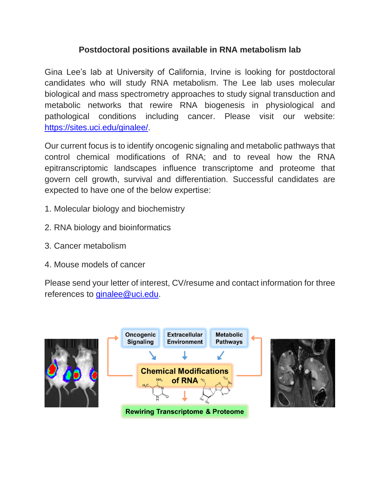# **Postdoctoral positions available in RNA metabolism lab**

Gina Lee's lab at University of California, Irvine is looking for postdoctoral candidates who will study RNA metabolism. The Lee lab uses molecular biological and mass spectrometry approaches to study signal transduction and metabolic networks that rewire RNA biogenesis in physiological and pathological conditions including cancer. Please visit our website: [https://sites.uci.edu/ginalee/.](https://sites.uci.edu/ginalee/)

Our current focus is to identify oncogenic signaling and metabolic pathways that control chemical modifications of RNA; and to reveal how the RNA epitranscriptomic landscapes influence transcriptome and proteome that govern cell growth, survival and differentiation. Successful candidates are expected to have one of the below expertise:

- 1. Molecular biology and biochemistry
- 2. RNA biology and bioinformatics
- 3. Cancer metabolism
- 4. Mouse models of cancer

Please send your letter of interest, CV/resume and contact information for three references to [ginalee@uci.edu.](mailto:ginalee@uci.edu)

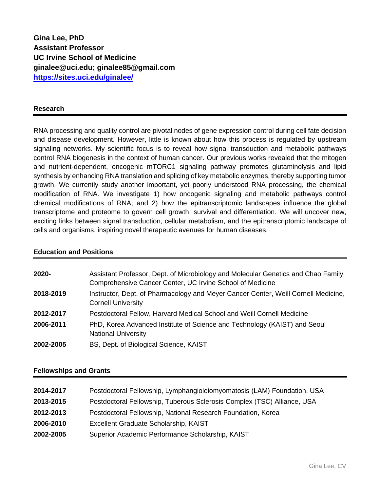**Gina Lee, PhD Assistant Professor UC Irvine School of Medicine [ginalee@uci.edu;](mailto:ginalee@uci.edu) [ginalee85@gmail.com](mailto:ginalee85@gmail.com) <https://sites.uci.edu/ginalee/>**

#### **Research**

RNA processing and quality control are pivotal nodes of gene expression control during cell fate decision and disease development. However, little is known about how this process is regulated by upstream signaling networks. My scientific focus is to reveal how signal transduction and metabolic pathways control RNA biogenesis in the context of human cancer. Our previous works revealed that the mitogen and nutrient-dependent, oncogenic mTORC1 signaling pathway promotes glutaminolysis and lipid synthesis by enhancing RNA translation and splicing of key metabolic enzymes, thereby supporting tumor growth. We currently study another important, yet poorly understood RNA processing, the chemical modification of RNA. We investigate 1) how oncogenic signaling and metabolic pathways control chemical modifications of RNA; and 2) how the epitranscriptomic landscapes influence the global transcriptome and proteome to govern cell growth, survival and differentiation. We will uncover new, exciting links between signal transduction, cellular metabolism, and the epitranscriptomic landscape of cells and organisms, inspiring novel therapeutic avenues for human diseases.

#### **Education and Positions**

| 2020-     | Assistant Professor, Dept. of Microbiology and Molecular Genetics and Chao Family<br>Comprehensive Cancer Center, UC Irvine School of Medicine |
|-----------|------------------------------------------------------------------------------------------------------------------------------------------------|
| 2018-2019 | Instructor, Dept. of Pharmacology and Meyer Cancer Center, Weill Cornell Medicine,<br><b>Cornell University</b>                                |
| 2012-2017 | Postdoctoral Fellow, Harvard Medical School and Weill Cornell Medicine                                                                         |
| 2006-2011 | PhD, Korea Advanced Institute of Science and Technology (KAIST) and Seoul<br><b>National University</b>                                        |
| 2002-2005 | BS, Dept. of Biological Science, KAIST                                                                                                         |

#### **Fellowships and Grants**

| 2014-2017 | Postdoctoral Fellowship, Lymphangioleiomyomatosis (LAM) Foundation, USA |
|-----------|-------------------------------------------------------------------------|
| 2013-2015 | Postdoctoral Fellowship, Tuberous Sclerosis Complex (TSC) Alliance, USA |
| 2012-2013 | Postdoctoral Fellowship, National Research Foundation, Korea            |
| 2006-2010 | Excellent Graduate Scholarship, KAIST                                   |
| 2002-2005 | Superior Academic Performance Scholarship, KAIST                        |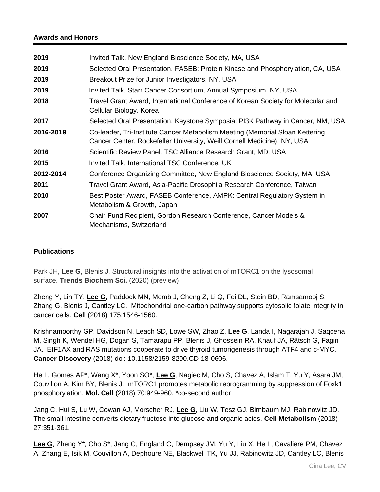## **Awards and Honors**

| 2019      | Invited Talk, New England Bioscience Society, MA, USA                                                                                                   |
|-----------|---------------------------------------------------------------------------------------------------------------------------------------------------------|
| 2019      | Selected Oral Presentation, FASEB: Protein Kinase and Phosphorylation, CA, USA                                                                          |
| 2019      | Breakout Prize for Junior Investigators, NY, USA                                                                                                        |
| 2019      | Invited Talk, Starr Cancer Consortium, Annual Symposium, NY, USA                                                                                        |
| 2018      | Travel Grant Award, International Conference of Korean Society for Molecular and<br>Cellular Biology, Korea                                             |
| 2017      | Selected Oral Presentation, Keystone Symposia: PI3K Pathway in Cancer, NM, USA                                                                          |
| 2016-2019 | Co-leader, Tri-Institute Cancer Metabolism Meeting (Memorial Sloan Kettering<br>Cancer Center, Rockefeller University, Weill Cornell Medicine), NY, USA |
| 2016      | Scientific Review Panel, TSC Alliance Research Grant, MD, USA                                                                                           |
| 2015      | Invited Talk, International TSC Conference, UK                                                                                                          |
| 2012-2014 | Conference Organizing Committee, New England Bioscience Society, MA, USA                                                                                |
| 2011      | Travel Grant Award, Asia-Pacific Drosophila Research Conference, Taiwan                                                                                 |
| 2010      | Best Poster Award, FASEB Conference, AMPK: Central Regulatory System in<br>Metabolism & Growth, Japan                                                   |
| 2007      | Chair Fund Recipient, Gordon Research Conference, Cancer Models &<br>Mechanisms, Switzerland                                                            |
|           |                                                                                                                                                         |

### **Publications**

Park JH, **Lee G**, Blenis J. Structural insights into the activation of mTORC1 on the lysosomal surface. **Trends Biochem Sci.** (2020) (preview)

Zheng Y, Lin TY, **Lee G**, Paddock MN, Momb J, Cheng Z, Li Q, Fei DL, Stein BD, Ramsamooj S, Zhang G, Blenis J, Cantley LC. Mitochondrial one-carbon pathway supports cytosolic folate integrity in cancer cells. **Cell** (2018) 175:1546-1560.

Krishnamoorthy GP, Davidson N, Leach SD, Lowe SW, Zhao Z, **Lee G**, Landa I, Nagarajah J, Saqcena M, Singh K, Wendel HG, Dogan S, Tamarapu PP, Blenis J, Ghossein RA, Knauf JA, Rätsch G, Fagin JA. EIF1AX and RAS mutations cooperate to drive thyroid tumorigenesis through ATF4 and c-MYC. **Cancer Discovery** (2018) doi: 10.1158/2159-8290.CD-18-0606.

He L, Gomes AP\*, Wang X\*, Yoon SO\*, **Lee G**, Nagiec M, Cho S, Chavez A, Islam T, Yu Y, Asara JM, Couvillon A, Kim BY, Blenis J. mTORC1 promotes metabolic reprogramming by suppression of Foxk1 phosphorylation. **Mol. Cell** (2018) 70:949-960. \*co-second author

Jang C, Hui S, Lu W, Cowan AJ, Morscher RJ, **Lee G**, Liu W, Tesz GJ, Birnbaum MJ, Rabinowitz JD. The small intestine converts dietary fructose into glucose and organic acids. **Cell Metabolism** (2018) 27:351-361.

**Lee G**, Zheng Y\*, Cho S\*, Jang C, England C, Dempsey JM, Yu Y, Liu X, He L, Cavaliere PM, Chavez A, Zhang E, Isik M, Couvillon A, Dephoure NE, Blackwell TK, Yu JJ, Rabinowitz JD, Cantley LC, Blenis